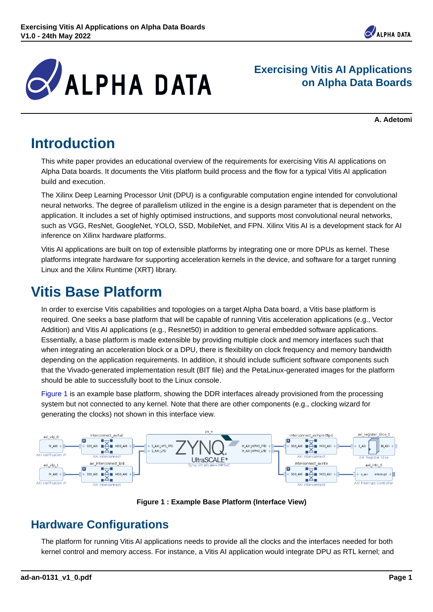

**Exercising Vitis AI Applications on Alpha Data Boards**

**A. Adetomi**

*Den* 

# **Introduction**

This white paper provides an educational overview of the requirements for exercising Vitis AI applications on Alpha Data boards. It documents the Vitis platform build process and the flow for a typical Vitis AI application build and execution.

The Xilinx Deep Learning Processor Unit (DPU) is a configurable computation engine intended for convolutional neural networks. The degree of parallelism utilized in the engine is a design parameter that is dependent on the application. It includes a set of highly optimised instructions, and supports most convolutional neural networks, such as VGG, ResNet, GoogleNet, YOLO, SSD, MobileNet, and FPN. Xilinx Vitis AI is a development stack for AI inference on Xilinx hardware platforms.

Vitis AI applications are built on top of extensible platforms by integrating one or more DPUs as kernel. These platforms integrate hardware for supporting acceleration kernels in the device, and software for a target running Linux and the Xilinx Runtime (XRT) library.

# **Vitis Base Platform**

In order to exercise Vitis capabilities and topologies on a target Alpha Data board, a Vitis base platform is required. One seeks a base platform that will be capable of running Vitis acceleration applications (e.g., Vector Addition) and Vitis AI applications (e.g., Resnet50) in addition to general embedded software applications. Essentially, a base platform is made extensible by providing multiple clock and memory interfaces such that when integrating an acceleration block or a DPU, there is flexibility on clock frequency and memory bandwidth depending on the application requirements. In addition, it should include sufficient software components such that the Vivado-generated implementation result (BIT file) and the PetaLinux-generated images for the platform should be able to successfully boot to the Linux console.

[Figure 1](#page-0-0) is an example base platform, showing the DDR interfaces already provisioned from the processing system but not connected to any kernel. Note that there are other components (e.g., clocking wizard for generating the clocks) not shown in this interface view.

<span id="page-0-0"></span>



## **Hardware Configurations**

The platform for running Vitis AI applications needs to provide all the clocks and the interfaces needed for both kernel control and memory access. For instance, a Vitis AI application would integrate DPU as RTL kernel; and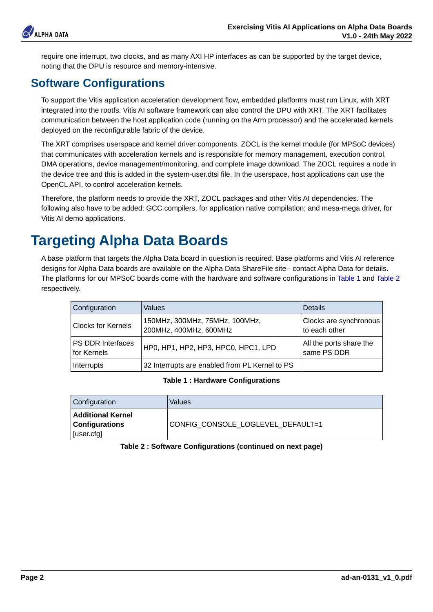

require one interrupt, two clocks, and as many AXI HP interfaces as can be supported by the target device, noting that the DPU is resource and memory-intensive.

## **Software Configurations**

To support the Vitis application acceleration development flow, embedded platforms must run Linux, with XRT integrated into the rootfs. Vitis AI software framework can also control the DPU with XRT. The XRT facilitates communication between the host application code (running on the Arm processor) and the accelerated kernels deployed on the reconfigurable fabric of the device.

The XRT comprises userspace and kernel driver components. ZOCL is the kernel module (for MPSoC devices) that communicates with acceleration kernels and is responsible for memory management, execution control DMA operations, device management/monitoring, and complete image download. The ZOCL requires a node in the device tree and this is added in the system-user.dtsi file. In the userspace, host applications can use the OpenCL API, to control acceleration kernels.

Therefore, the platform needs to provide the XRT, ZOCL packages and other Vitis AI dependencies. The following also have to be added: GCC compilers, for application native compilation; and mesa-mega driver, for Vitis AI demo applications.

# **Targeting Alpha Data Boards**

<span id="page-1-0"></span>A base platform that targets the Alpha Data board in question is required. Base platforms and Vitis AI reference designs for Alpha Data boards are available on the Alpha Data ShareFile site - contact Alpha Data for details. The platforms for our MPSoC boards come with the hardware and software configurations in [Table 1](#page-1-0) and [Table 2](#page-1-1) respectively.

| Configuration                           | Values                                                   | Details                                 |
|-----------------------------------------|----------------------------------------------------------|-----------------------------------------|
| Clocks for Kernels                      | 150MHz. 300MHz. 75MHz. 100MHz.<br>200MHz. 400MHz. 600MHz | Clocks are synchronous<br>to each other |
| <b>PS DDR Interfaces</b><br>for Kernels | HP0, HP1, HP2, HP3, HPC0, HPC1, LPD                      | All the ports share the<br>same PS DDR  |
| Interrupts                              | 32 Interrupts are enabled from PL Kernel to PS           |                                         |

#### **Table 1 : Hardware Configurations**

<span id="page-1-1"></span>

| Configuration                                                   | Values                            |
|-----------------------------------------------------------------|-----------------------------------|
| <b>Additional Kernel</b><br><b>Configurations</b><br>[user.cfg] | CONFIG CONSOLE LOGLEVEL DEFAULT=1 |

**Table 2 : Software Configurations (continued on next page)**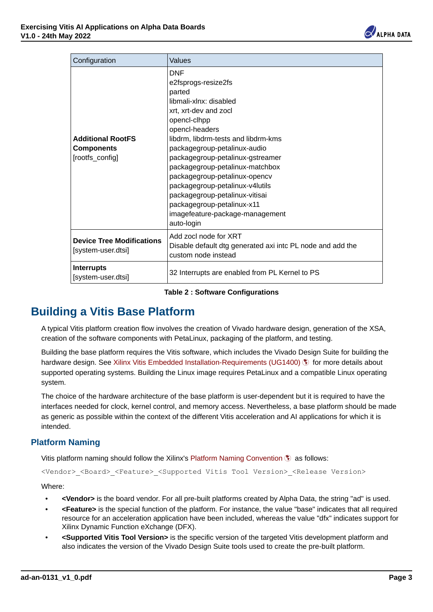

| Configuration                                             | Values                                                                                                                                                                                                                                                                                                                                                                                                                                                              |
|-----------------------------------------------------------|---------------------------------------------------------------------------------------------------------------------------------------------------------------------------------------------------------------------------------------------------------------------------------------------------------------------------------------------------------------------------------------------------------------------------------------------------------------------|
| <b>Additional RootES</b><br>Components<br>[rootfs_config] | <b>DNF</b><br>e2fsprogs-resize2fs<br>narted<br>lihmali-xlnx; disabled<br>xrt. xrt-dev and zocl<br>opencl-clhpp<br>opencl-headers<br>libdrm, libdrm-tests and libdrm-kms<br>packagegroup-petalinux-audio<br>packagegroup-petalinux-gstreamer<br>packagegroup-petalinux-matchbox<br>packagegroup-petalinux-opencv<br>packagegroup-petalinux-v4lutils<br>packagegroup-petalinux-vitisai<br>packagegroup-petalinux-x11<br>imagefeature-package-management<br>auto-login |
| <b>Device Tree Modifications</b><br>Isystem-user.dtsil    | Add zoci node for XRT<br>Disable default dtg generated axi into PL node and add the<br>custom node instead                                                                                                                                                                                                                                                                                                                                                          |
| <b>Interrupts</b><br>[system-user.dtsi]                   | 32 Interrupts are enabled from PL Kernel to PS                                                                                                                                                                                                                                                                                                                                                                                                                      |

**Table 2 : Software Configurations**

## **Building a Vitis Base Platform**

A typical Vitis platform creation flow involves the creation of Vivado hardware design, generation of the XSA, creation of the software components with PetaLinux, packaging of the platform, and testing.

Building the base platform requires the Vitis software, which includes the Vivado Design Suite for building the hardware design. See [Xilinx Vitis Embedded Installation-Requirements \(UG1400\)](https://docs.xilinx.com/r/en-US/ug1400-vitis-embedded/Installation-Requirements) (\$) for more details about supported operating systems. Building the Linux image requires PetaLinux and a compatible Linux operating system.

The choice of the hardware architecture of the base platform is user-dependent but it is required to have the interfaces needed for clock, kernel control, and memory access. Nevertheless, a base platform should be made as generic as possible within the context of the different Vitis acceleration and AI applications for which it is intended. hardware design. See Klink: Vilis Embedded Installation-Requires Petalians about the supported operating systems. Building the Linux image requires Petalinux and a compathle Linux operating<br>system.<br>The choice of the hardwa

### **Platform Naming**

Vitis platform naming should follow the Xilinx's [Platform Naming Convention](https://docs.xilinx.com/r/2020.2-English/ug1393-vitis-application-acceleration/Platform-Naming-Convention)  $\Im$  as follows:

```
<Vendor>_<Board>_<Feature>_<Supported Vitis Tool Version>_<Release Version>
```
Where:

- **<Vendor>** is the board vendor. For all pre-built platforms created by Alpha Data, the string "ad" is used.
- **<Feature>** is the special function of the platform. For instance, the value "base" indicates that all required resource for an acceleration application have been included, whereas the value "dfx" indicates support for Xilinx Dynamic Function eXchange (DFX).
- **<Supported Vitis Tool Version>** is the specific version of the targeted Vitis development platform and also indicates the version of the Vivado Design Suite tools used to create the pre-built platform.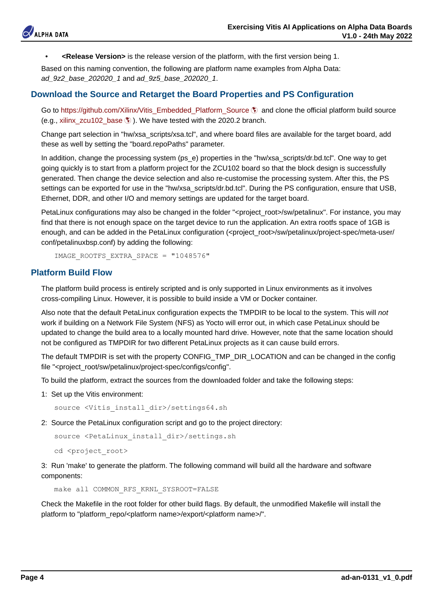

• **<Release Version>** is the release version of the platform, with the first version being 1.

Based on this naming convention, the following are platform name examples from Alpha Data: *ad\_9z2\_base\_202020\_1* and *ad\_9z5\_base\_202020\_1*.

#### **Download the Source and Retarget the Board Properties and PS Configuration**

Go to [https://github.com/Xilinx/Vitis\\_Embedded\\_Platform\\_Source](https://github.com/Xilinx/Vitis_Embedded_Platform_Source) \, and clone the official platform build source (e.g., [xilinx\\_zcu102\\_base](https://github.com/Xilinx/Vitis_Embedded_Platform_Source/tree/2022.1/Xilinx_Official_Platforms/xilinx_zcu102_base)  $\langle \cdot \rangle$ ). We have tested with the 2020.2 branch.

Change part selection in "hw/xsa\_scripts/xsa.tcl", and where board files are available for the target board, add these as well by setting the "board.repoPaths" parameter.

In addition, change the processing system (ps\_e) properties in the "hw/xsa\_scripts/dr.bd.tcl". One way to get going quickly is to start from a platform project for the ZCU102 board so that the block design is successfully generated. Then change the device selection and also re-customise the processing system. After this, the PS settings can be exported for use in the "hw/xsa\_scripts/dr.bd.tcl". During the PS configuration, ensure that USB, Ethernet, DDR, and other I/O and memory settings are updated for the target board. Go to throughjehut.com/killind/vides.Embedde/2<sup>1</sup>httiform.Source 5 and close the dilictal platform build source<br>(e.g., xilim, zxil 102, 104 to the videos, a first decision and close to and close the distant platform build

PetaLinux configurations may also be changed in the folder "<project\_root>/sw/petalinux". For instance, you may find that there is not enough space on the target device to run the application. An extra rootfs space of 1GB is enough, and can be added in the PetaLinux configuration (<project\_root>/sw/petalinux/project-spec/meta-user/ conf/petalinuxbsp.conf) by adding the following:

IMAGE\_ROOTFS\_EXTRA\_SPACE = "1048576"

### **Platform Build Flow**

The platform build process is entirely scripted and is only supported in Linux environments as it involves cross-compiling Linux. However, it is possible to build inside a VM or Docker container.

Also note that the default PetaLinux configuration expects the TMPDIR to be local to the system. This will *not* work if building on a Network File System (NFS) as Yocto will error out, in which case PetaLinux should be updated to change the build area to a locally mounted hard drive. However, note that the same location should not be configured as TMPDIR for two different PetaLinux projects as it can cause build errors.

The default TMPDIR is set with the property CONFIG\_TMP\_DIR\_LOCATION and can be changed in the config file "<project\_root/sw/petalinux/project-spec/configs/config".

To build the platform, extract the sources from the downloaded folder and take the following steps:

1: Set up the Vitis environment:

source <Vitis\_install\_dir>/settings64.sh

2: Source the PetaLinux configuration script and go to the project directory:

```
 source <PetaLinux_install_dir>/settings.sh
cd <project_root>
```
3: Run 'make' to generate the platform. The following command will build all the hardware and software components:

make all COMMON\_RFS\_KRNL\_SYSROOT=FALSE

Check the Makefile in the root folder for other build flags. By default, the unmodified Makefile will install the platform to "platform\_repo/<platform name>/export/<platform name>/"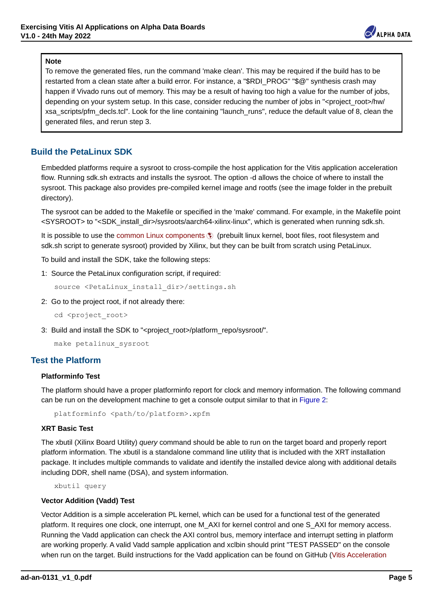

### **Note**

To remove the generated files, run the command 'make clean'. This may be required if the build has to be restarted from a clean state after a build error. For instance, a "\$RDI\_PROG" "\$@" synthesis crash may happen if Vivado runs out of memory. This may be a result of having too high a value for the number of jobs, depending on your system setup. In this case, consider reducing the number of jobs in "<project\_root>/hw/ xsa\_scripts/pfm\_decls.tcl". Look for the line containing "launch\_runs", reduce the default value of 8, clean the generated files, and rerun step 3.

## **Build the PetaLinux SDK**

Embedded platforms require a sysroot to cross-compile the host application for the Vitis application acceleration flow. Running sdk.sh extracts and installs the sysroot. The option -d allows the choice of where to install the sysroot. This package also provides pre-compiled kernel image and rootfs (see the image folder in the prebuilt directory).

The sysroot can be added to the Makefile or specified in the 'make' command. For example, in the Makefile point <SYSROOT> to "<SDK\_install\_dir>/sysroots/aarch64-xilinx-linux", which is generated when running sdk.sh.

It is possible to use the [common Linux components](https://www.xilinx.com/member/forms/download/xef.html?filename=xilinx-zynqmp-common-v2020.2.tar.gz) (\$) (prebuilt linux kernel, boot files, root filesystem and sdk.sh script to generate sysroot) provided by Xilinx, but they can be built from scratch using PetaLinux.

To build and install the SDK, take the following steps:

1: Source the PetaLinux configuration script, if required:

source <PetaLinux\_install\_dir>/settings.sh

2: Go to the project root, if not already there:

cd <project\_root>

3: Build and install the SDK to "<project\_root>/platform\_repo/sysroot".

make petalinux\_sysroot

## **Test the Platform**

## **Platforminfo Test**

The platform should have a proper platforminfo report for clock and memory information. The following command can be run on the development machine to get a console output similar to that in [Figure 2](#page-5-0):

platforminfo <path/to/platform>.xpfm

## **XRT Basic Test**

The xbutil (Xilinx Board Utility) *query* command should be able to run on the target board and properly report platform information. The xbutil is a standalone command line utility that is included with the XRT installation package. It includes multiple commands to validate and identify the installed device along with additional details including DDR, shell name (DSA), and system information.

xbutil query

#### **Vector Addition (Vadd) Test**

Vector Addition is a simple acceleration PL kernel, which can be used for a functional test of the generated platform. It requires one clock, one interrupt, one M\_AXI for kernel control and one S\_AXI for memory access. Running the Vadd application can check the AXI control bus, memory interface and interrupt setting in platform are working properly. A valid Vadd sample application and xclbin should print "TEST PASSED" on the console when run on the target. Build instructions for the Vadd application can be found on GitHub ([Vitis Acceleration](https://github.com/Xilinx/Vitis_Accel_Examples/tree/master/hello_world) **bis possible to use the common Linux components of (preduit finux kemel, boot files, root filesy<br>ad-an-bit split and install the SDK, take the following steps:<br>
1. Source the Petal innov configuration script, if required:**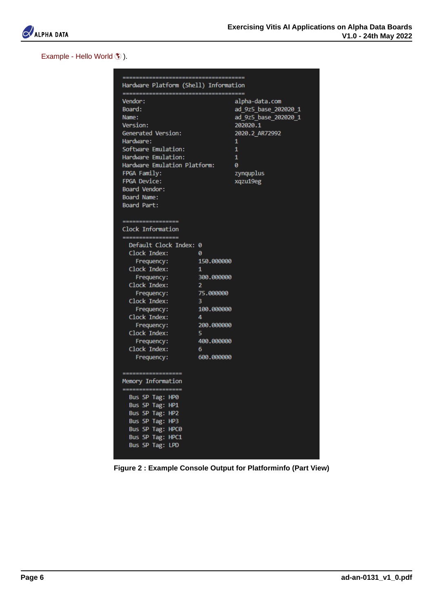

[Example - Hello World](https://github.com/Xilinx/Vitis_Accel_Examples/tree/master/hello_world) (\$)).

<span id="page-5-0"></span>

| Vendon:<br>alpha data.com<br>ad 9z5 base 202020 1<br>Board:<br>Name:<br>ad_925_base_202020_1<br>282028.1<br>Version:<br>Generated Version:<br>2020.2 AR72992<br>Hardware:<br>1<br>Software Emulation:<br>$\mathbf{1}$<br>Hardware Emulation:<br>$\mathbf{1}$<br>Hardware Emulation Platform:<br>$\theta$<br>zynquplus<br>FPGA Family:<br><b>FPGA Device:</b><br>xqzu19eg |
|--------------------------------------------------------------------------------------------------------------------------------------------------------------------------------------------------------------------------------------------------------------------------------------------------------------------------------------------------------------------------|
|                                                                                                                                                                                                                                                                                                                                                                          |
|                                                                                                                                                                                                                                                                                                                                                                          |
|                                                                                                                                                                                                                                                                                                                                                                          |
|                                                                                                                                                                                                                                                                                                                                                                          |
|                                                                                                                                                                                                                                                                                                                                                                          |
|                                                                                                                                                                                                                                                                                                                                                                          |
|                                                                                                                                                                                                                                                                                                                                                                          |
|                                                                                                                                                                                                                                                                                                                                                                          |
|                                                                                                                                                                                                                                                                                                                                                                          |
|                                                                                                                                                                                                                                                                                                                                                                          |
| Board Vendon:                                                                                                                                                                                                                                                                                                                                                            |
| Board Name:                                                                                                                                                                                                                                                                                                                                                              |
| Board Part:                                                                                                                                                                                                                                                                                                                                                              |
|                                                                                                                                                                                                                                                                                                                                                                          |
| -----------------                                                                                                                                                                                                                                                                                                                                                        |
| Clock Information<br>------------------                                                                                                                                                                                                                                                                                                                                  |
| Default Clock Index: 0                                                                                                                                                                                                                                                                                                                                                   |
|                                                                                                                                                                                                                                                                                                                                                                          |
| $\begin{tabular}{c c c} \textbf{Clock Index:} & \textbf{0} \\ \textbf{Frequency:} & \textbf{150.000000} \\ \textbf{Clock Index:} & \textbf{1} \end{tabular}$                                                                                                                                                                                                             |
|                                                                                                                                                                                                                                                                                                                                                                          |
| 300.000000<br>Frequency:                                                                                                                                                                                                                                                                                                                                                 |
| Clock Index:<br>$\overline{2}$                                                                                                                                                                                                                                                                                                                                           |
| 75.000000<br>Frequency:                                                                                                                                                                                                                                                                                                                                                  |
| Clock Index:<br>$-3$                                                                                                                                                                                                                                                                                                                                                     |
| Frequency: 100.000000                                                                                                                                                                                                                                                                                                                                                    |
| Clock Index:<br>$\Delta$                                                                                                                                                                                                                                                                                                                                                 |
| 200.000000<br>Frequency:                                                                                                                                                                                                                                                                                                                                                 |
| Clock Index:<br>- 5                                                                                                                                                                                                                                                                                                                                                      |
| 400.000000<br>Frequency:                                                                                                                                                                                                                                                                                                                                                 |
| Clock Index:<br>$-6$<br>600.000000<br>Frequency:                                                                                                                                                                                                                                                                                                                         |
|                                                                                                                                                                                                                                                                                                                                                                          |
| ----------                                                                                                                                                                                                                                                                                                                                                               |
| Memory Information                                                                                                                                                                                                                                                                                                                                                       |
| -------------------                                                                                                                                                                                                                                                                                                                                                      |
| Bus SP Tag: HPO<br>Bus SP Tag: HP1                                                                                                                                                                                                                                                                                                                                       |
| Bus SP Tag: HP2                                                                                                                                                                                                                                                                                                                                                          |
|                                                                                                                                                                                                                                                                                                                                                                          |
|                                                                                                                                                                                                                                                                                                                                                                          |
|                                                                                                                                                                                                                                                                                                                                                                          |
|                                                                                                                                                                                                                                                                                                                                                                          |
| Bus SP Tag: HP3<br>Bus SP Tag: HPC0<br><b>Bus SP Tag: HPC1</b><br>Bus SP Tag: LPD<br>Figure 2: Example Console Output for Platforminfo (Part View)                                                                                                                                                                                                                       |

**Figure 2 : Example Console Output for Platforminfo (Part View)**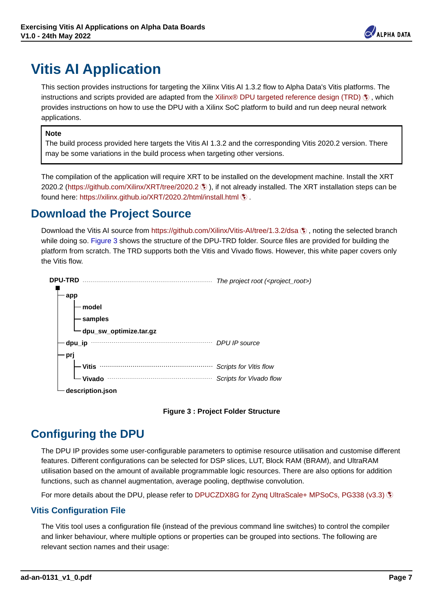

# **Vitis AI Application**

This section provides instructions for targeting the Xilinx Vitis AI 1.3.2 flow to Alpha Data's Vitis platforms. The instructions and scripts provided are adapted from the [Xilinx® DPU targeted reference design \(TRD\)](https://github.com/Xilinx/Vitis-AI/tree/1.3.2/dsa/DPU-TRD)  $\S$  , which provides instructions on how to use the DPU with a Xilinx SoC platform to build and run deep neural network applications.

#### **Note**

The build process provided here targets the Vitis AI 1.3.2 and the corresponding Vitis 2020.2 version. There may be some variations in the build process when targeting other versions.

The compilation of the application will require XRT to be installed on the development machine. Install the XRT 2020.2 (<https://github.com/Xilinx/XRT/tree/2020.2> ), if not already installed. The XRT installation steps can be found here: <https://xilinx.github.io/XRT/2020.2/html/install.html> ...

## **Download the Project Source**

<span id="page-6-0"></span>Download the Vitis AI source from<https://github.com/Xilinx/Vitis-AI/tree/1.3.2/dsa> (), noting the selected branch while doing so. [Figure 3](#page-6-0) shows the structure of the DPU-TRD folder. Source files are provided for building the platform from scratch. The TRD supports both the Vitis and Vivado flows. However, this white paper covers only the Vitis flow.





## **Configuring the DPU**

The DPU IP provides some user-configurable parameters to optimise resource utilisation and customise different features. Different configurations can be selected for DSP slices, LUT, Block RAM (BRAM), and UltraRAM utilisation based on the amount of available programmable logic resources. There are also options for addition functions, such as channel augmentation, average pooling, depthwise convolution.

For more details about the DPU, please refer to [DPUCZDX8G for Zynq UltraScale+ MPSoCs, PG338 \(v3.3\)](https://www.xilinx.com/cgi-bin/docs/ipdoc?c=dpu;v=latest;d=pg338-dpu.pdf)

#### **Vitis Configuration File**

The Vitis tool uses a configuration file (instead of the previous command line switches) to control the compiler and linker behaviour, where multiple options or properties can be grouped into sections. The following are relevant section names and their usage: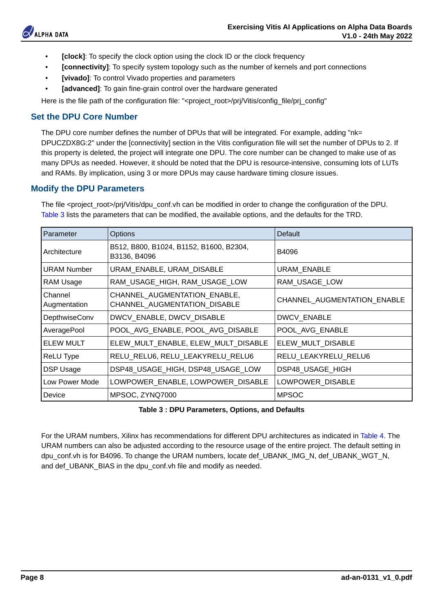

- **[clock]**: To specify the clock option using the clock ID or the clock frequency
- **[connectivity]**: To specify system topology such as the number of kernels and port connections
- **[vivado]**: To control Vivado properties and parameters
- **[advanced]**: To gain fine-grain control over the hardware generated

Here is the file path of the configuration file: "<project\_root>/prj/Vitis/config\_file/prj\_config"

## **Set the DPU Core Number**

The DPU core number defines the number of DPUs that will be integrated. For example, adding "nk= DPUCZDX8G:2" under the [connectivity] section in the Vitis configuration file will set the number of DPUs to 2. If this property is deleted, the project will integrate one DPU. The core number can be changed to make use of as many DPUs as needed. However, it should be noted that the DPU is resource-intensive, consuming lots of LUTs and RAMs. By implication, using 3 or more DPUs may cause hardware timing closure issues.

### <span id="page-7-0"></span>**Modify the DPU Parameters**

The file <project\_root>/pri/Vitis/dpu\_conf.vh can be modified in order to change the configuration of the DPU. [Table 3](#page-7-0) lists the parameters that can be modified, the available options, and the defaults for the TRD.

| Parameter               | Options                                                      | Default                     |
|-------------------------|--------------------------------------------------------------|-----------------------------|
| Architecture            | B512, B800, B1024, B1152, B1600, B2304,<br>B3136, B4096      | <b>B4096</b>                |
| <b>URAM Number</b>      | URAM ENABLE, URAM DISABLE                                    | <b>URAM ENABLE</b>          |
| RAM Usage               | RAM USAGE HIGH, RAM USAGE LOW                                | RAM USAGE LOW               |
| Channel<br>Augmentation | CHANNEL AUGMENTATION ENABLE.<br>CHANNEL AUGMENTATION DISABLE | CHANNEL AUGMENTATION ENABLE |
| DepthwiseConv           | DWCV ENABLE, DWCV DISABLE                                    | <b>DWCV ENABLE</b>          |
| AveragePool             | POOL AVG ENABLE, POOL AVG DISABLE                            | POOL AVG ENABLE             |
| FI FW MULT              | ELEW MULT ENABLE, ELEW MULT DISABLE                          | ELEW MULT DISABLE           |
| <b>ReLU Type</b>        | RELU RELU6, RELU LEAKYRELU RELU6                             | RELU LEAKYRELU RELU6        |
| DSP Usage               | DSP48 USAGE HIGH, DSP48 USAGE LOW                            | DSP48 USAGE HIGH            |
| Low Power Mode          | LOWPOWER ENABLE, LOWPOWER DISABLE                            | LOWPOWER_DISABLE            |
| Device                  | MPSOC, ZYNQ7000                                              | <b>MPSOC</b>                |

**Table 3 : DPU Parameters, Options, and Defaults**

<span id="page-7-1"></span>For the URAM numbers, Xilinx has recommendations for different DPU architectures as indicated in [Table 4](#page-7-1). The URAM numbers can also be adjusted according to the resource usage of the entire project. The default setting in dpu\_conf.vh is for B4096. To change the URAM numbers, locate def\_UBANK\_IMG\_N, def\_UBANK\_WGT\_N, and def\_UBANK\_BIAS in the dpu\_conf.vh file and modify as needed.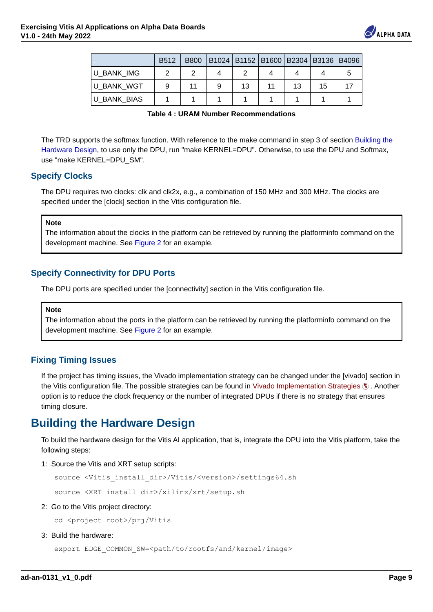

|                    |   |   |    | B512   B800   B1024   B1152   B1600   B2304   B3136   B4096 |    |  |
|--------------------|---|---|----|-------------------------------------------------------------|----|--|
| <b>BANK IMG</b>    |   |   |    |                                                             |    |  |
| <b>U BANK WGT</b>  | ø | ۹ | 13 | 13                                                          | 15 |  |
| <b>U BANK BIAS</b> |   |   |    |                                                             |    |  |

**Table 4 : URAM Number Recommendations**

The TRD supports the softmax function. With reference to the make command in step 3 of section [Building the](#page-8-0) [Hardware Design](#page-8-0), to use only the DPU, run "make KERNEL=DPU". Otherwise, to use the DPU and Softmax, use "make KERNEL=DPU\_SM".

### **Specify Clocks**

The DPU requires two clocks: clk and clk2x, e.g., a combination of 150 MHz and 300 MHz. The clocks are specified under the [clock] section in the Vitis configuration file.

#### **Note**

The information about the clocks in the platform can be retrieved by running the platforminfo command on the development machine. See [Figure 2](#page-5-0) for an example.

## **Specify Connectivity for DPU Ports**

The DPU ports are specified under the [connectivity] section in the Vitis configuration file.

#### **Note**

The information about the ports in the platform can be retrieved by running the platforminfo command on the development machine. See [Figure 2](#page-5-0) for an example.

#### **Fixing Timing Issues**

<span id="page-8-0"></span>If the project has timing issues, the Vivado implementation strategy can be changed under the [vivado] section in the Vitis configuration file. The possible strategies can be found in [Vivado Implementation Strategies](https://support.xilinx.com/s/article/56328) . Another option is to reduce the clock frequency or the number of integrated DPUs if there is no strategy that ensures timing closure. the Visiconfiguration like. The possible strategies a can be found in Vuesto members of integrated DPUs if there is no strategy that ensures through costs.<br> **adding the Hardware Design**<br> **adding the Hardware Design conditi** 

## **Building the Hardware Design**

To build the hardware design for the Vitis AI application, that is, integrate the DPU into the Vitis platform, take the following steps:

1: Source the Vitis and XRT setup scripts:

source <Vitis\_install\_dir>/Vitis/<version>/settings64.sh

source <XRT\_install\_dir>/xilinx/xrt/setup.sh

2: Go to the Vitis project directory:

cd <project\_root>/pri/Vitis

3: Build the hardware:

export EDGE\_COMMON\_SW=<path/to/rootfs/and/kernel/image>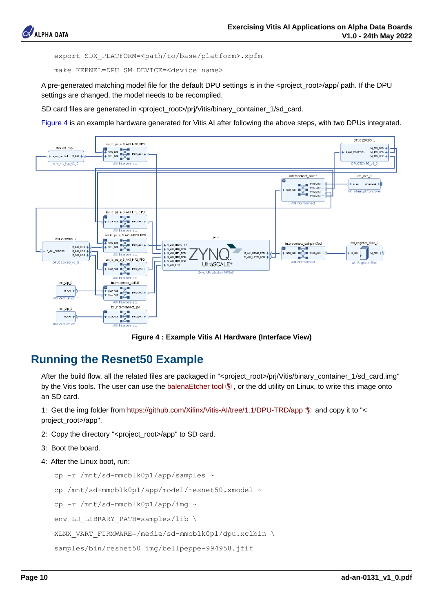

export SDX\_PLATFORM=<path/to/base/platform>.xpfm

make KERNEL=DPU\_SM DEVICE=<device name>

A pre-generated matching model file for the default DPU settings is in the <project\_root>/app/ path. If the DPU settings are changed, the model needs to be recompiled.

SD card files are generated in <project\_root>/pri/Vitis/binary\_container\_1/sd\_card.

[Figure 4](#page-9-0) is an example hardware generated for Vitis AI after following the above steps, with two DPUs integrated.

<span id="page-9-0"></span>

**Figure 4 : Example Vitis AI Hardware (Interface View)**

## **Running the Resnet50 Example**

After the build flow, all the related files are packaged in "<project\_root>/pri/Vitis/binary\_container\_1/sd\_card.img" by the Vitis tools. The user can use the [balenaEtcher tool](https://www.balena.io/etcher)  $\hat{\mathbf{x}}$ , or the dd utility on Linux, to write this image onto an SD card.

1: Get the img folder from https://github.com/Xilinx/Vitis-Al/tree/1.1/DPU-TRD/app  $\langle$  and copy it to "< project\_root>/app".

- 2: Copy the directory "<project\_root>/app" to SD card.
- 3: Boot the board.
- 4: After the Linux boot, run:

```
cp -r /mnt/sd-mmcblk0pl/app/samples ~
           cp /mnt/sd-mmcblk0p1/app/model/resnet50.xmodel ~
           cp -r /mnt/sd-mmcblk0p1/app/img ~
          env LD_LIBRARY_PATH=samples/lib \
           XLNX_VART_FIRMWARE=/media/sd-mmcblk0p1/dpu.xclbin \
           samples/bin/resnet50 img/bellpeppe-994958.jfif
by the Vits tote. The user can use the balenaEtcher tool \fro_it on Earth. Case the image onto<br>
Page 10 and Social Case the my folder from https://github.com/Xilinx/Vitis-Al/tree/1.1/DPU-TRD/app \fro_it and copy it to "<
```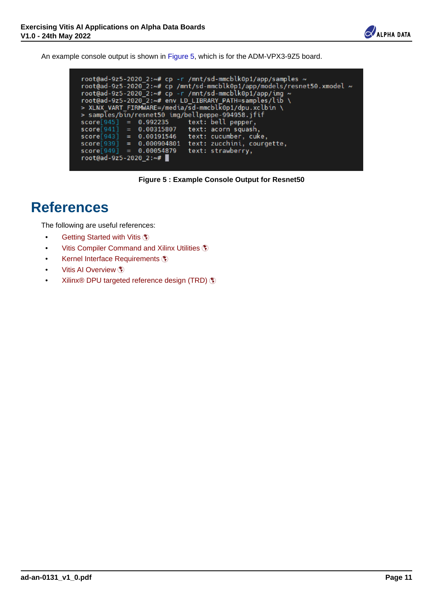

<span id="page-10-0"></span>An example console output is shown in [Figure 5](#page-10-0), which is for the ADM-VPX3-9Z5 board.

| root@ad-9z5-2020 2:~# cp -r /mnt/sd-mmcblk0p1/app/samples ~             |
|-------------------------------------------------------------------------|
| root@ad-9z5-2020 2:~# cp /mnt/sd-mmcblk0p1/app/models/resnet50.xmodel ~ |
| root@ad-9z5-2020 2:~# cp -r /mnt/sd-mmcblk0p1/app/imq ~                 |
| root@ad-9z5-2020 2:~# env LD LIBRARY PATH=samples/lib \                 |
| > XLNX VART FIRMWARE=/media/sd-mmcblk0p1/dpu.xclbin \                   |
| > samples/bin/resnet50 img/bellpeppe-994958.jfif                        |
| $score[945] = 0.992235$ text: bell pepper.                              |
| $score[941] = 0.00315807$<br>text: acorn squash.                        |
| $score[943] = 0.60191546$<br>text: cucumber, cuke,                      |
| $score[939] = 0.000904801$<br>text: zucchini, courgette,                |
| $score[949] = 0.00054879$<br>text: strawberry.                          |
| root@ad-9z5-2020 2:~#                                                   |
|                                                                         |

**Figure 5 : Example Console Output for Resnet50**

# **References**

The following are useful references:

- [Getting Started with Vitis](https://docs.xilinx.com/r/en-US/ug1393-vitis-application-acceleration/Getting-Started-with-Vitis) (\*)
- [Vitis Compiler Command and Xilinx Utilities](https://docs.xilinx.com/r/en-US/ug1393-vitis-application-acceleration/Vitis-Environment-Reference-Materials)
- [Kernel Interface Requirements](https://docs.xilinx.com/r/en-US/ug1393-vitis-application-acceleration/Kernel-Interface-Requirements)
- [Vitis AI Overview](https://docs.xilinx.com/r/en-US/ug1414-vitis-ai/Vitis-AI-Overview) \
- [Xilinx® DPU targeted reference design \(TRD\)](https://github.com/Xilinx/Vitis-AI/tree/1.3.2/dsa/DPU-TRD)  $$$ Cetting Stande with Visis  $\tilde{\xi}$ <br>
Visis Complier Command and Xilinx Ustities  $\tilde{\xi}$ <br> **Annel Interface Requirements**  $\tilde{\xi}$ <br>
Visis Al Overview  $\tilde{\xi}$ <br>
Page 11<br>
Page 11<br>
Page 11<br> **ad-an-0131\_v1\_0.pdf**<br> **Page 11**